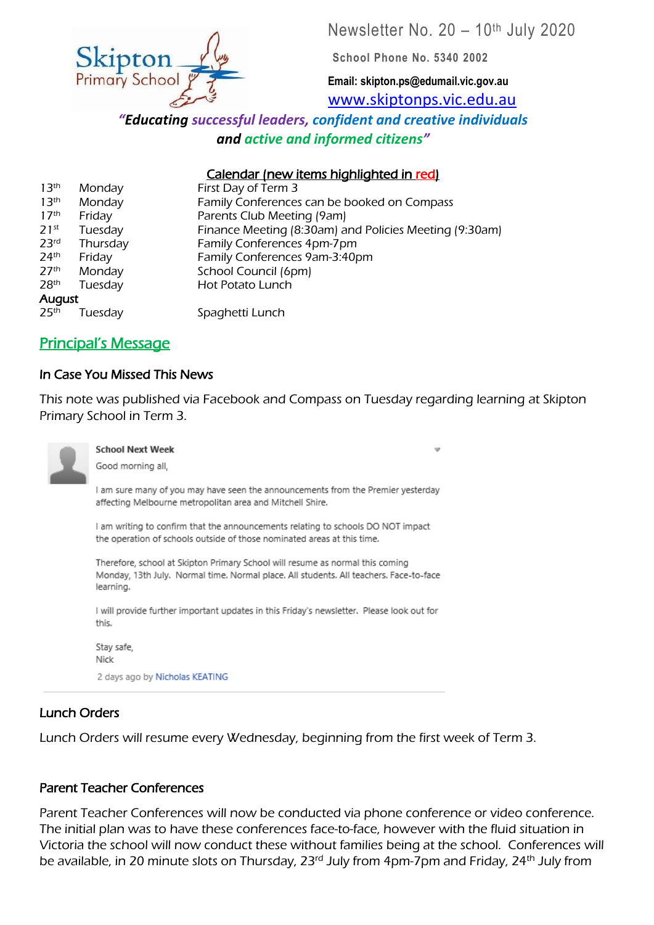Newsletter No. 20 – 10th July 2020



**School Phone No. 5340 2002**

**Email: skipton.ps@edumail.vic.gov.au** [www.skiptonps.vic.edu.au](http://www.skiptonps.vic.edu.au/)

*"Educating successful leaders, confident and creative individuals and active and informed citizens"*

## Calendar (new items highlighted in red)

| 13 <sup>th</sup>   | Monday   | First Day of Term 3                                    |
|--------------------|----------|--------------------------------------------------------|
| 13 <sup>th</sup>   | Monday   | Family Conferences can be booked on Compass            |
| 17 <sup>th</sup>   | Friday   | Parents Club Meeting (9am)                             |
| $71$ <sup>st</sup> | Tuesday  | Finance Meeting (8:30am) and Policies Meeting (9:30am) |
| 23 <sup>rd</sup>   | Thursday | Family Conferences 4pm-7pm                             |
| 24 <sup>th</sup>   | Friday   | Family Conferences 9am-3:40pm                          |
| 27 <sup>th</sup>   | Monday   | School Council (6pm)                                   |
| 28 <sup>th</sup>   | Tuesday  | Hot Potato Lunch                                       |
| August             |          |                                                        |
| 25 <sup>th</sup>   | Tuesday  | Spaghetti Lunch                                        |

# Principal's Message

### In Case You Missed This News

This note was published via Facebook and Compass on Tuesday regarding learning at Skipton Primary School in Term 3.



#### **School Next Week**

Good morning all,

I am sure many of you may have seen the announcements from the Premier yesterday affecting Melbourne metropolitan area and Mitchell Shire.

I am writing to confirm that the announcements relating to schools DO NOT impact the operation of schools outside of those nominated areas at this time.

Therefore, school at Skipton Primary School will resume as normal this coming Monday, 13th July. Normal time. Normal place. All students. All teachers. Face-to-face learning.

I will provide further important updates in this Friday's newsletter. Please look out for this.

Stay safe, Nick

2 days ago by Nicholas KEATING

## Lunch Orders

Lunch Orders will resume every Wednesday, beginning from the first week of Term 3.

### Parent Teacher Conferences

Parent Teacher Conferences will now be conducted via phone conference or video conference. The initial plan was to have these conferences face-to-face, however with the fluid situation in Victoria the school will now conduct these without families being at the school. Conferences will be available, in 20 minute slots on Thursday, 23<sup>rd</sup> July from 4pm-7pm and Friday, 24<sup>th</sup> July from